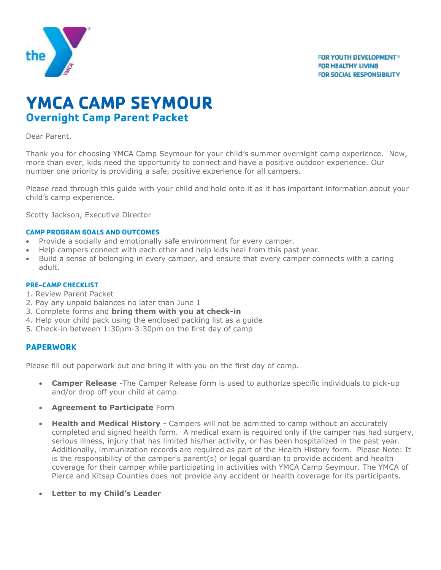

# **YMCA CAMP SEYMOUR Overnight Camp Parent Packet**

#### Dear Parent,

Thank you for choosing YMCA Camp Seymour for your child's summer overnight camp experience. Now, more than ever, kids need the opportunity to connect and have a positive outdoor experience. Our number one priority is providing a safe, positive experience for all campers.

Please read through this guide with your child and hold onto it as it has important information about your child's camp experience.

Scotty Jackson, Executive Director

#### **CAMP PROGRAM GOALS AND OUTCOMES**

- Provide a socially and emotionally safe environment for every camper.
- Help campers connect with each other and help kids heal from this past year.
- Build a sense of belonging in every camper, and ensure that every camper connects with a caring adult.

#### **PRE-CAMP CHECKLIST**

- 1. Review Parent Packet
- 2. Pay any unpaid balances no later than June 1
- 3. Complete forms and **bring them with you at check-in**
- 4. Help your child pack using the enclosed packing list as a guide
- 5. Check-in between 1:30pm-3:30pm on the first day of camp

#### **PAPERWORK**

Please fill out paperwork out and bring it with you on the first day of camp.

- **Camper Release** -The Camper Release form is used to authorize specific individuals to pick-up and/or drop off your child at camp.
- **Agreement to Participate** Form
- **Health and Medical History** Campers will not be admitted to camp without an accurately completed and signed health form. A medical exam is required only if the camper has had surgery, serious illness, injury that has limited his/her activity, or has been hospitalized in the past year. Additionally, immunization records are required as part of the Health History form. Please Note: It is the responsibility of the camper's parent(s) or legal guardian to provide accident and health coverage for their camper while participating in activities with YMCA Camp Seymour. The YMCA of Pierce and Kitsap Counties does not provide any accident or health coverage for its participants.
- **Letter to my Child's Leader**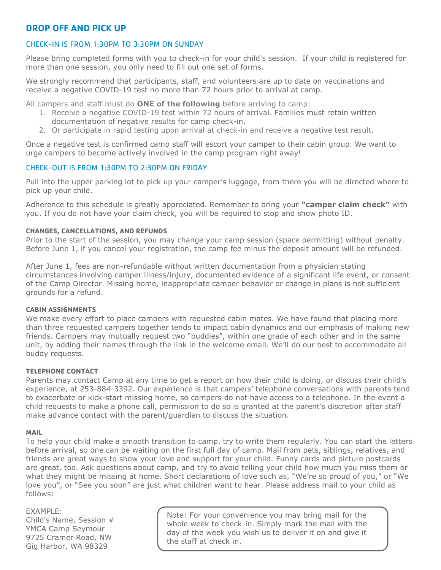# **DROP OFF AND PICK UP**

#### CHECK-IN IS FROM 1:30PM TO 3:30PM ON SUNDAY

Please bring completed forms with you to check-in for your child's session. If your child is registered for more than one session, you only need to fill out one set of forms.

We strongly recommend that participants, staff, and volunteers are up to date on vaccinations and receive a negative COVID-19 test no more than 72 hours prior to arrival at camp.

All campers and staff must do **ONE of the following** before arriving to camp:

- 1. Receive a negative COVID-19 test within 72 hours of arrival. Families must retain written documentation of negative results for camp check-in.
- 2. Or participate in rapid testing upon arrival at check-in and receive a negative test result.

Once a negative test is confirmed camp staff will escort your camper to their cabin group. We want to urge campers to become actively involved in the camp program right away!

#### CHECK-OUT IS FROM 1:30PM TO 2:30PM ON FRIDAY

Pull into the upper parking lot to pick up your camper's luggage, from there you will be directed where to pick up your child.

Adherence to this schedule is greatly appreciated. Remember to bring your **"camper claim check"** with you. If you do not have your claim check, you will be required to stop and show photo ID.

#### **CHANGES, CANCELLATIONS, AND REFUNDS**

Prior to the start of the session, you may change your camp session (space permitting) without penalty. Before June 1, if you cancel your registration, the camp fee minus the deposit amount will be refunded.

After June 1, fees are non-refundable without written documentation from a physician stating circumstances involving camper illness/injury, documented evidence of a significant life event, or consent of the Camp Director. Missing home, inappropriate camper behavior or change in plans is not sufficient grounds for a refund.

#### **CABIN ASSIGNMENTS**

We make every effort to place campers with requested cabin mates. We have found that placing more than three requested campers together tends to impact cabin dynamics and our emphasis of making new friends. Campers may mutually request two "buddies", within one grade of each other and in the same unit, by adding their names through the link in the welcome email. We'll do our best to accommodate all buddy requests.

#### **TELEPHONE CONTACT**

Parents may contact Camp at any time to get a report on how their child is doing, or discuss their child's experience, at 253-884-3392. Our experience is that campers' telephone conversations with parents tend to exacerbate or kick-start missing home, so campers do not have access to a telephone. In the event a child requests to make a phone call, permission to do so is granted at the parent's discretion after staff make advance contact with the parent/guardian to discuss the situation.

#### **MAIL**

To help your child make a smooth transition to camp, try to write them regularly. You can start the letters before arrival, so one can be waiting on the first full day of camp. Mail from pets, siblings, relatives, and friends are great ways to show your love and support for your child. Funny cards and picture postcards are great, too. Ask questions about camp, and try to avoid telling your child how much you miss them or what they might be missing at home. Short declarations of love such as, "We're so proud of you," or "We love you", or "See you soon" are just what children want to hear. Please address mail to your child as follows:

#### EXAMPLE:

Child's Name, Session # YMCA Camp Seymour 9725 Cramer Road, NW Gig Harbor, WA 98329

Note: For your convenience you may bring mail for the whole week to check-in. Simply mark the mail with the day of the week you wish us to deliver it on and give it the staff at check in.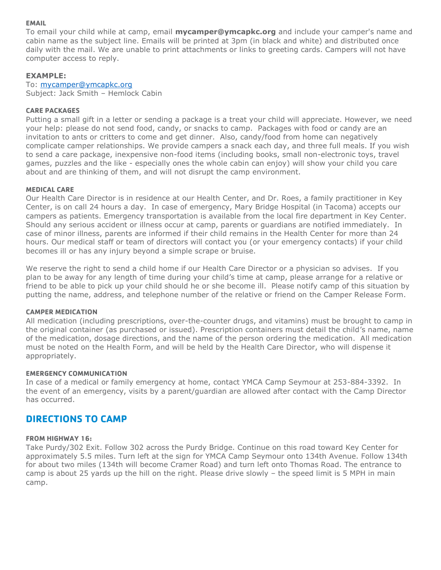#### **EMAIL**

To email your child while at camp, email **mycamper@ymcapkc.org** and include your camper's name and cabin name as the subject line. Emails will be printed at 3pm (in black and white) and distributed once daily with the mail. We are unable to print attachments or links to greeting cards. Campers will not have computer access to reply.

#### **EXAMPLE:**

To: [mycamper@ymcapkc.org](mailto:mycamper@ymcapkc.org) Subject: Jack Smith – Hemlock Cabin

#### **CARE PACKAGES**

Putting a small gift in a letter or sending a package is a treat your child will appreciate. However, we need your help: please do not send food, candy, or snacks to camp. Packages with food or candy are an invitation to ants or critters to come and get dinner. Also, candy/food from home can negatively complicate camper relationships. We provide campers a snack each day, and three full meals. If you wish to send a care package, inexpensive non-food items (including books, small non-electronic toys, travel games, puzzles and the like - especially ones the whole cabin can enjoy) will show your child you care about and are thinking of them, and will not disrupt the camp environment.

#### **MEDICAL CARE**

Our Health Care Director is in residence at our Health Center, and Dr. Roes, a family practitioner in Key Center, is on call 24 hours a day. In case of emergency, Mary Bridge Hospital (in Tacoma) accepts our campers as patients. Emergency transportation is available from the local fire department in Key Center. Should any serious accident or illness occur at camp, parents or guardians are notified immediately. In case of minor illness, parents are informed if their child remains in the Health Center for more than 24 hours. Our medical staff or team of directors will contact you (or your emergency contacts) if your child becomes ill or has any injury beyond a simple scrape or bruise.

We reserve the right to send a child home if our Health Care Director or a physician so advises. If you plan to be away for any length of time during your child's time at camp, please arrange for a relative or friend to be able to pick up your child should he or she become ill. Please notify camp of this situation by putting the name, address, and telephone number of the relative or friend on the Camper Release Form.

#### **CAMPER MEDICATION**

All medication (including prescriptions, over-the-counter drugs, and vitamins) must be brought to camp in the original container (as purchased or issued). Prescription containers must detail the child's name, name of the medication, dosage directions, and the name of the person ordering the medication. All medication must be noted on the Health Form, and will be held by the Health Care Director, who will dispense it appropriately.

#### **EMERGENCY COMMUNICATION**

In case of a medical or family emergency at home, contact YMCA Camp Seymour at 253-884-3392. In the event of an emergency, visits by a parent/guardian are allowed after contact with the Camp Director has occurred.

## **DIRECTIONS TO CAMP**

#### **FROM HIGHWAY 16:**

Take Purdy/302 Exit. Follow 302 across the Purdy Bridge. Continue on this road toward Key Center for approximately 5.5 miles. Turn left at the sign for YMCA Camp Seymour onto 134th Avenue. Follow 134th for about two miles (134th will become Cramer Road) and turn left onto Thomas Road. The entrance to camp is about 25 yards up the hill on the right. Please drive slowly – the speed limit is 5 MPH in main camp.